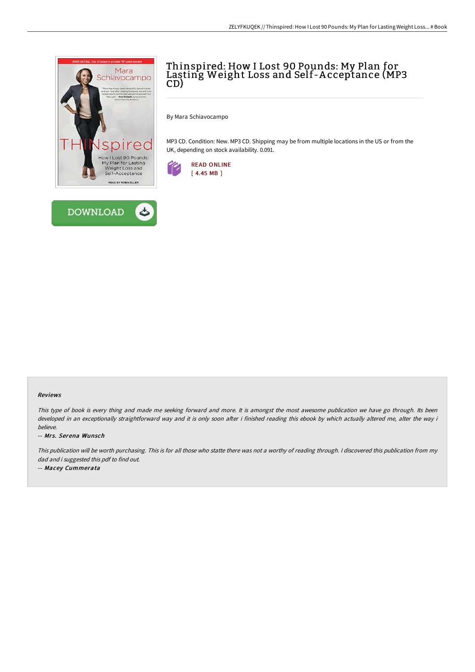



# Thinspired: How I Lost 90 Pounds: My Plan for Lasting Weight Loss and Self-A cceptance (MP3 CD)

By Mara Schiavocampo

MP3 CD. Condition: New. MP3 CD. Shipping may be from multiple locations in the US or from the UK, depending on stock availability. 0.091.



### Reviews

This type of book is every thing and made me seeking forward and more. It is amongst the most awesome publication we have go through. Its been developed in an exceptionally straightforward way and it is only soon after i finished reading this ebook by which actually altered me, alter the way i believe.

### -- Mrs. Serena Wunsch

This publication will be worth purchasing. This is for all those who statte there was not <sup>a</sup> worthy of reading through. <sup>I</sup> discovered this publication from my dad and i suggested this pdf to find out.

-- Macey Cummerata